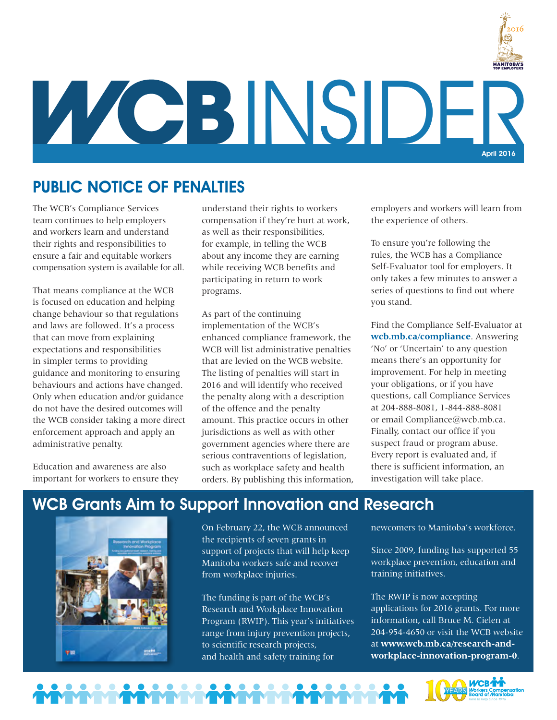

**INSIDE** April 2016

## PUBLIC NOTICE OF PENALTIES

The WCB's Compliance Services team continues to help employers and workers learn and understand their [rights and responsibilities](http://www.wcb.mb.ca/rights-and-responsibilities) to ensure a fair and equitable workers compensation system is available for all.

That means compliance at the WCB is focused on education and helping change behaviour so that regulations and laws are followed. It's a process that can move from explaining expectations and responsibilities in simpler terms to providing guidance and monitoring to ensuring behaviours and actions have changed. Only when education and/or guidance do not have the desired outcomes will the WCB consider taking a more direct enforcement approach and apply an administrative penalty.

Education and awareness are also important for workers to ensure they understand their rights to workers compensation if they're hurt at work, as well as their responsibilities, for example, in telling the WCB about any income they are earning while receiving WCB benefits and participating in return to work programs.

As part of the continuing implementation of the WCB's enhanced compliance framework, the WCB will list administrative penalties that are levied on the WCB website. The listing of penalties will start in 2016 and will identify who received the penalty along with a description of the offence and the penalty amount. This practice occurs in other jurisdictions as well as with other government agencies where there are serious contraventions of legislation, such as workplace safety and health orders. By publishing this information, employers and workers will learn from the experience of others.

To ensure you're following the rules, the WCB has a Compliance Self-Evaluator tool for employers. It only takes a few minutes to answer a series of questions to find out where you stand.

Find the Compliance Self-Evaluator at **wcb.mb.ca/compliance**. Answering 'No' or 'Uncertain' to any question means there's an opportunity for improvement. For help in meeting your obligations, or if you have questions, call Compliance Services at 204-888-8081, 1-844-888-8081 or email Compliance@wcb.mb.ca. Finally, contact our office if you suspect fraud or program abuse. Every report is evaluated and, if there is sufficient information, an investigation will take place.

## WCB Grants Aim to Support Innovation and Research



On February 22, the WCB announced the recipients of seven grants in support of projects that will help keep Manitoba workers safe and recover from workplace injuries.

The funding is part of the WCB's Research and Workplace Innovation Program (RWIP). This year's initiatives range from injury prevention projects, to scientific research projects, and health and safety training for

newcomers to Manitoba's workforce.

Since 2009, funding has supported 55 workplace prevention, education and training initiatives.

The RWIP is now accepting applications for 2016 grants. For more information, call Bruce M. Cielen at 204-954-4650 or visit the WCB website at **www.wcb.mb.ca/research-andworkplace-innovation-program-0**.